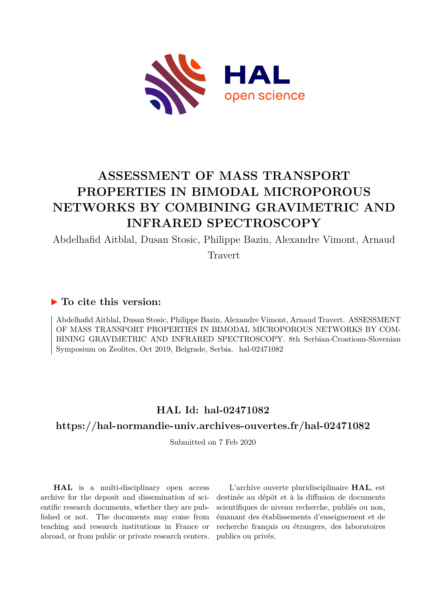

# **ASSESSMENT OF MASS TRANSPORT PROPERTIES IN BIMODAL MICROPOROUS NETWORKS BY COMBINING GRAVIMETRIC AND INFRARED SPECTROSCOPY**

Abdelhafid Aitblal, Dusan Stosic, Philippe Bazin, Alexandre Vimont, Arnaud

Travert

# **To cite this version:**

Abdelhafid Aitblal, Dusan Stosic, Philippe Bazin, Alexandre Vimont, Arnaud Travert. ASSESSMENT OF MASS TRANSPORT PROPERTIES IN BIMODAL MICROPOROUS NETWORKS BY COM-BINING GRAVIMETRIC AND INFRARED SPECTROSCOPY. 8th Serbian-Croatioan-Slovenian Symposium on Zeolites, Oct 2019, Belgrade, Serbia. hal-02471082

# **HAL Id: hal-02471082**

# **<https://hal-normandie-univ.archives-ouvertes.fr/hal-02471082>**

Submitted on 7 Feb 2020

**HAL** is a multi-disciplinary open access archive for the deposit and dissemination of scientific research documents, whether they are published or not. The documents may come from teaching and research institutions in France or abroad, or from public or private research centers.

L'archive ouverte pluridisciplinaire **HAL**, est destinée au dépôt et à la diffusion de documents scientifiques de niveau recherche, publiés ou non, émanant des établissements d'enseignement et de recherche français ou étrangers, des laboratoires publics ou privés.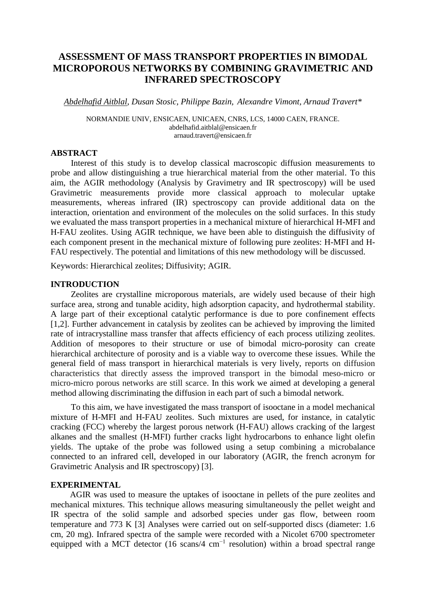### **ASSESSMENT OF MASS TRANSPORT PROPERTIES IN BIMODAL MICROPOROUS NETWORKS BY COMBINING GRAVIMETRIC AND INFRARED SPECTROSCOPY**

*Abdelhafid Aitblal, Dusan Stosic, Philippe Bazin, Alexandre Vimont, Arnaud Travert\**

NORMANDIE UNIV, ENSICAEN, UNICAEN, CNRS, LCS, 14000 CAEN, FRANCE. [abdelhafid.aitblal@ensicaen.fr](mailto:abdelhafid.aitblal@ensicaen.fr) arnaud.travert@ensicaen.fr

#### **ABSTRACT**

Interest of this study is to develop classical macroscopic diffusion measurements to probe and allow distinguishing a true hierarchical material from the other material. To this aim, the AGIR methodology (Analysis by Gravimetry and IR spectroscopy) will be used Gravimetric measurements provide more classical approach to molecular uptake measurements, whereas infrared (IR) spectroscopy can provide additional data on the interaction, orientation and environment of the molecules on the solid surfaces. In this study we evaluated the mass transport properties in a mechanical mixture of hierarchical H-MFI and H-FAU zeolites. Using AGIR technique, we have been able to distinguish the diffusivity of each component present in the mechanical mixture of following pure zeolites: H-MFI and H-FAU respectively. The potential and limitations of this new methodology will be discussed.

Keywords: Hierarchical zeolites; Diffusivity; AGIR.

#### **INTRODUCTION**

Zeolites are crystalline microporous materials, are widely used because of their high surface area, strong and tunable acidity, high adsorption capacity, and hydrothermal stability. A large part of their exceptional catalytic performance is due to pore confinement effects [1,2]. Further advancement in catalysis by zeolites can be achieved by improving the limited rate of intracrystalline mass transfer that affects efficiency of each process utilizing zeolites. Addition of mesopores to their structure or use of bimodal micro-porosity can create hierarchical architecture of porosity and is a viable way to overcome these issues. While the general field of mass transport in hierarchical materials is very lively, reports on diffusion characteristics that directly assess the improved transport in the bimodal meso-micro or micro-micro porous networks are still scarce. In this work we aimed at developing a general method allowing discriminating the diffusion in each part of such a bimodal network.

To this aim, we have investigated the mass transport of isooctane in a model mechanical mixture of H-MFI and H-FAU zeolites. Such mixtures are used, for instance, in catalytic cracking (FCC) whereby the largest porous network (H-FAU) allows cracking of the largest alkanes and the smallest (H-MFI) further cracks light hydrocarbons to enhance light olefin yields. The uptake of the probe was followed using a setup combining a microbalance connected to an infrared cell, developed in our laboratory (AGIR, the french acronym for Gravimetric Analysis and IR spectroscopy) [3].

#### **EXPERIMENTAL**

 AGIR was used to measure the uptakes of isooctane in pellets of the pure zeolites and mechanical mixtures. This technique allows measuring simultaneously the pellet weight and IR spectra of the solid sample and adsorbed species under gas flow, between room temperature and 773 K [3] Analyses were carried out on self-supported discs (diameter: 1.6 cm, 20 mg). Infrared spectra of the sample were recorded with a Nicolet 6700 spectrometer equipped with a MCT detector (16 scans/4 cm<sup>-1</sup> resolution) within a broad spectral range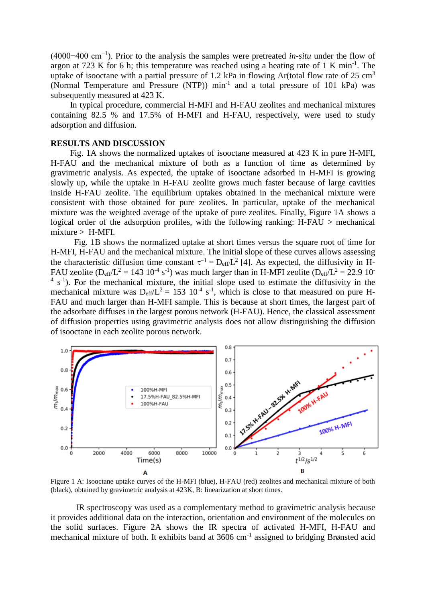(4000−400 cm−1). Prior to the analysis the samples were pretreated *in-situ* under the flow of argon at 723 K for 6 h; this temperature was reached using a heating rate of 1 K min<sup>-1</sup>. The uptake of isooctane with a partial pressure of 1.2 kPa in flowing Ar(total flow rate of 25 cm<sup>3</sup> (Normal Temperature and Pressure (NTP)) min<sup>-1</sup> and a total pressure of 101 kPa) was subsequently measured at 423 K.

 In typical procedure, commercial H-MFI and H-FAU zeolites and mechanical mixtures containing 82.5 % and 17.5% of H-MFI and H-FAU, respectively, were used to study adsorption and diffusion.

#### **RESULTS AND DISCUSSION**

 Fig. 1A shows the normalized uptakes of isooctane measured at 423 K in pure H-MFI, H-FAU and the mechanical mixture of both as a function of time as determined by gravimetric analysis. As expected, the uptake of isooctane adsorbed in H-MFI is growing slowly up, while the uptake in H-FAU zeolite grows much faster because of large cavities inside H-FAU zeolite. The equilibrium uptakes obtained in the mechanical mixture were consistent with those obtained for pure zeolites. In particular, uptake of the mechanical mixture was the weighted average of the uptake of pure zeolites. Finally, Figure 1A shows a logical order of the adsorption profiles, with the following ranking: H-FAU > mechanical mixture > H-MFI.

 Fig. 1B shows the normalized uptake at short times versus the square root of time for H-MFI, H-FAU and the mechanical mixture. The initial slope of these curves allows assessing the characteristic diffusion time constant  $\tau^{-1} = D_{\text{eff}}L^2$  [4]. As expected, the diffusivity in H-FAU zeolite ( $D_{eff}/L^2 = 143 \cdot 10^{-4} \text{ s}^{-1}$ ) was much larger than in H-MFI zeolite ( $D_{eff}/L^2 = 22.9 \cdot 10^{-7}$  $4 \text{ s}^{-1}$ ). For the mechanical mixture, the initial slope used to estimate the diffusivity in the mechanical mixture was  $D_{eff}/L^2 = 153 \cdot 10^{-4} \text{ s}^{-1}$ , which is close to that measured on pure H-FAU and much larger than H-MFI sample. This is because at short times, the largest part of the adsorbate diffuses in the largest porous network (H-FAU). Hence, the classical assessment of diffusion properties using gravimetric analysis does not allow distinguishing the diffusion of isooctane in each zeolite porous network.



Figure 1 A: Isooctane uptake curves of the H-MFI (blue), H-FAU (red) zeolites and mechanical mixture of both (black), obtained by gravimetric analysis at 423K, B: linearization at short times.

IR spectroscopy was used as a complementary method to gravimetric analysis because it provides additional data on the interaction, orientation and environment of the molecules on the solid surfaces. Figure 2A shows the IR spectra of activated H-MFI, H-FAU and mechanical mixture of both. It exhibits band at 3606 cm<sup>-1</sup> assigned to bridging Brønsted acid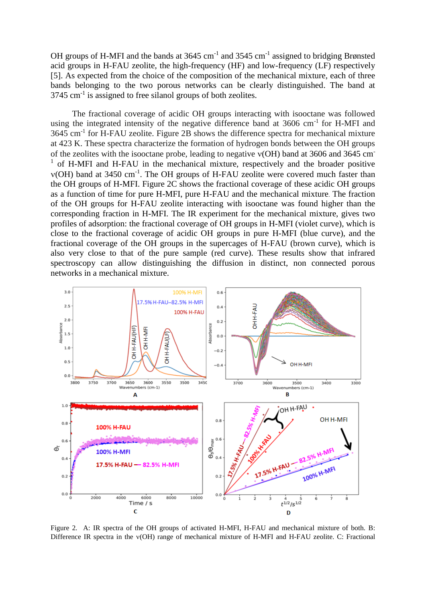OH groups of H-MFI and the bands at  $3645 \text{ cm}^{-1}$  and  $3545 \text{ cm}^{-1}$  assigned to bridging Brønsted acid groups in H-FAU zeolite, the high-frequency (HF) and low-frequency (LF) respectively [5]. As expected from the choice of the composition of the mechanical mixture, each of three bands belonging to the two porous networks can be clearly distinguished. The band at  $3745$  cm<sup>-1</sup> is assigned to free silanol groups of both zeolites.

 The fractional coverage of acidic OH groups interacting with isooctane was followed using the integrated intensity of the negative difference band at  $3606 \text{ cm}^{-1}$  for H-MFI and 3645 cm<sup>-1</sup> for H-FAU zeolite. Figure 2B shows the difference spectra for mechanical mixture at 423 K. These spectra characterize the formation of hydrogen bonds between the OH groups of the zeolites with the isooctane probe, leading to negative  $v(OH)$  band at 3606 and 3645 cm <sup>1</sup> of H-MFI and H-FAU in the mechanical mixture, respectively and the broader positive  $v(OH)$  band at 3450 cm<sup>-1</sup>. The OH groups of H-FAU zeolite were covered much faster than the OH groups of H-MFI. Figure 2C shows the fractional coverage of these acidic OH groups as a function of time for pure H-MFI, pure H-FAU and the mechanical mixture. The fraction of the OH groups for H-FAU zeolite interacting with isooctane was found higher than the corresponding fraction in H-MFI. The IR experiment for the mechanical mixture, gives two profiles of adsorption: the fractional coverage of OH groups in H-MFI (violet curve), which is close to the fractional coverage of acidic OH groups in pure H-MFI (blue curve), and the fractional coverage of the OH groups in the supercages of H-FAU (brown curve), which is also very close to that of the pure sample (red curve). These results show that infrared spectroscopy can allow distinguishing the diffusion in distinct, non connected porous networks in a mechanical mixture.



Figure 2. A: IR spectra of the OH groups of activated H-MFI, H-FAU and mechanical mixture of both. B: Difference IR spectra in the  $v(OH)$  range of mechanical mixture of H-MFI and H-FAU zeolite. C: Fractional